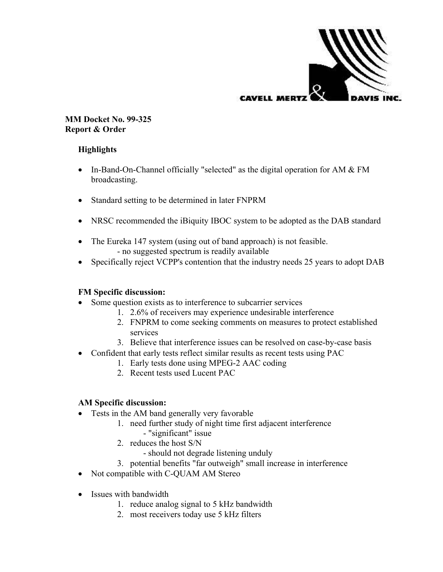

### **MM Docket No. 99-325 Report & Order**

# **Highlights**

- In-Band-On-Channel officially "selected" as the digital operation for AM & FM broadcasting.
- Standard setting to be determined in later FNPRM
- NRSC recommended the iBiquity IBOC system to be adopted as the DAB standard
- The Eureka 147 system (using out of band approach) is not feasible. - no suggested spectrum is readily available
- Specifically reject VCPP's contention that the industry needs 25 years to adopt DAB

## **FM Specific discussion:**

- Some question exists as to interference to subcarrier services
	- 1. 2.6% of receivers may experience undesirable interference
	- 2. FNPRM to come seeking comments on measures to protect established services
	- 3. Believe that interference issues can be resolved on case-by-case basis
- Confident that early tests reflect similar results as recent tests using PAC
	- 1. Early tests done using MPEG-2 AAC coding
	- 2. Recent tests used Lucent PAC

# **AM Specific discussion:**

- Tests in the AM band generally very favorable
	- 1. need further study of night time first adjacent interference - "significant" issue
	- 2. reduces the host S/N
		- should not degrade listening unduly
	- 3. potential benefits "far outweigh" small increase in interference
- Not compatible with C-QUAM AM Stereo
- Issues with bandwidth
	- 1. reduce analog signal to 5 kHz bandwidth
	- 2. most receivers today use 5 kHz filters